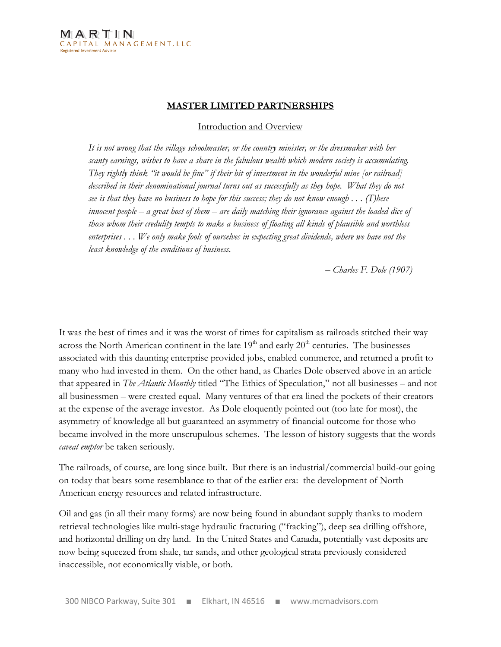#### MASTER LIMITED PARTNERSHIPS

Introduction and Overview

It is not wrong that the village schoolmaster, or the country minister, or the dressmaker with her scanty earnings, wishes to have a share in the fabulous wealth which modern society is accumulating. They rightly think "it would be fine" if their bit of investment in the wonderful mine [or railroad] described in their denominational journal turns out as successfully as they hope. What they do not see is that they have no business to hope for this success; they do not know enough  $\ldots$  (T)hese innocent people – a great host of them – are daily matching their ignorance against the loaded dice of those whom their credulity tempts to make a business of floating all kinds of plausible and worthless enterprises . . . We only make fools of ourselves in expecting great dividends, where we have not the least knowledge of the conditions of business.

– Charles F. Dole (1907)

It was the best of times and it was the worst of times for capitalism as railroads stitched their way across the North American continent in the late  $19<sup>th</sup>$  and early  $20<sup>th</sup>$  centuries. The businesses associated with this daunting enterprise provided jobs, enabled commerce, and returned a profit to many who had invested in them. On the other hand, as Charles Dole observed above in an article that appeared in The Atlantic Monthly titled "The Ethics of Speculation," not all businesses – and not all businessmen – were created equal. Many ventures of that era lined the pockets of their creators at the expense of the average investor. As Dole eloquently pointed out (too late for most), the asymmetry of knowledge all but guaranteed an asymmetry of financial outcome for those who became involved in the more unscrupulous schemes. The lesson of history suggests that the words caveat emptor be taken seriously.

The railroads, of course, are long since built. But there is an industrial/commercial build-out going on today that bears some resemblance to that of the earlier era: the development of North American energy resources and related infrastructure.

Oil and gas (in all their many forms) are now being found in abundant supply thanks to modern retrieval technologies like multi-stage hydraulic fracturing ("fracking"), deep sea drilling offshore, and horizontal drilling on dry land. In the United States and Canada, potentially vast deposits are now being squeezed from shale, tar sands, and other geological strata previously considered inaccessible, not economically viable, or both.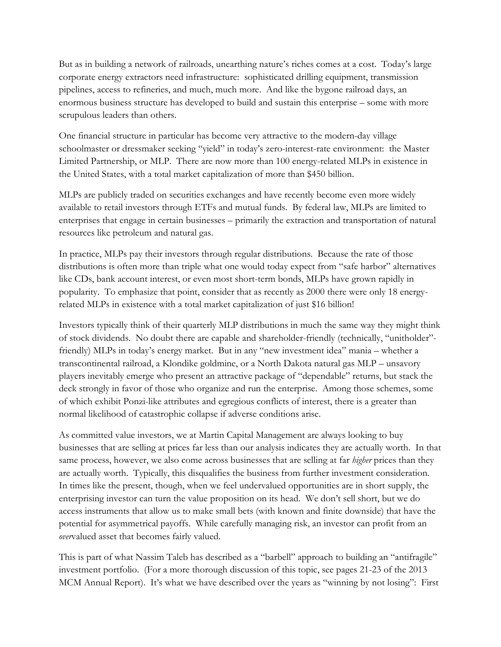But as in building a network of railroads, unearthing nature's riches comes at a cost. Today's large corporate energy extractors need infrastructure: sophisticated drilling equipment, transmission pipelines, access to refineries, and much, much more. And like the bygone railroad days, an enormous business structure has developed to build and sustain this enterprise – some with more scrupulous leaders than others.

One financial structure in particular has become very attractive to the modern-day village schoolmaster or dressmaker seeking "yield" in today's zero-interest-rate environment: the Master Limited Partnership, or MLP. There are now more than 100 energy-related MLPs in existence in the United States, with a total market capitalization of more than \$450 billion.

MLPs are publicly traded on securities exchanges and have recently become even more widely available to retail investors through ETFs and mutual funds. By federal law, MLPs are limited to enterprises that engage in certain businesses – primarily the extraction and transportation of natural resources like petroleum and natural gas.

In practice, MLPs pay their investors through regular distributions. Because the rate of those distributions is often more than triple what one would today expect from "safe harbor" alternatives like CDs, bank account interest, or even most short-term bonds, MLPs have grown rapidly in popularity. To emphasize that point, consider that as recently as 2000 there were only 18 energyrelated MLPs in existence with a total market capitalization of just \$16 billion!

Investors typically think of their quarterly MLP distributions in much the same way they might think of stock dividends. No doubt there are capable and shareholder-friendly (technically, "unitholder" friendly) MLPs in today's energy market. But in any "new investment idea" mania – whether a transcontinental railroad, a Klondike goldmine, or a North Dakota natural gas MLP – unsavory players inevitably emerge who present an attractive package of "dependable" returns, but stack the deck strongly in favor of those who organize and run the enterprise. Among those schemes, some of which exhibit Ponzi-like attributes and egregious conflicts of interest, there is a greater than normal likelihood of catastrophic collapse if adverse conditions arise.

As committed value investors, we at Martin Capital Management are always looking to buy businesses that are selling at prices far less than our analysis indicates they are actually worth. In that same process, however, we also come across businesses that are selling at far *higher* prices than they are actually worth. Typically, this disqualifies the business from further investment consideration. In times like the present, though, when we feel undervalued opportunities are in short supply, the enterprising investor can turn the value proposition on its head. We don't sell short, but we do access instruments that allow us to make small bets (with known and finite downside) that have the potential for asymmetrical payoffs. While carefully managing risk, an investor can profit from an overvalued asset that becomes fairly valued.

This is part of what Nassim Taleb has described as a "barbell" approach to building an "antifragile" investment portfolio. (For a more thorough discussion of this topic, see pages 21-23 of the 2013 MCM Annual Report). It's what we have described over the years as "winning by not losing": First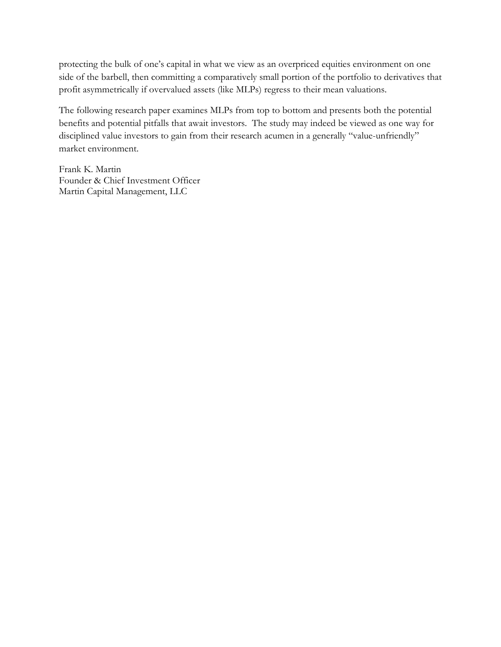protecting the bulk of one's capital in what we view as an overpriced equities environment on one side of the barbell, then committing a comparatively small portion of the portfolio to derivatives that profit asymmetrically if overvalued assets (like MLPs) regress to their mean valuations.

The following research paper examines MLPs from top to bottom and presents both the potential benefits and potential pitfalls that await investors. The study may indeed be viewed as one way for disciplined value investors to gain from their research acumen in a generally "value-unfriendly" market environment.

Frank K. Martin Founder & Chief Investment Officer Martin Capital Management, LLC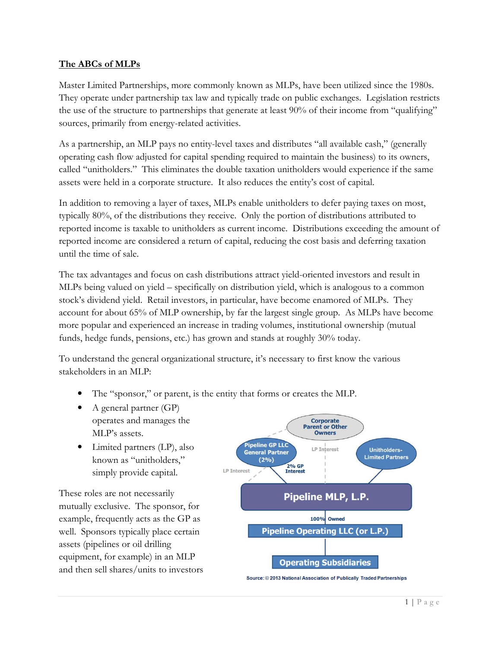## The ABCs of MLPs

Master Limited Partnerships, more commonly known as MLPs, have been utilized since the 1980s. They operate under partnership tax law and typically trade on public exchanges. Legislation restricts the use of the structure to partnerships that generate at least 90% of their income from "qualifying" sources, primarily from energy-related activities.

As a partnership, an MLP pays no entity-level taxes and distributes "all available cash," (generally operating cash flow adjusted for capital spending required to maintain the business) to its owners, called "unitholders." This eliminates the double taxation unitholders would experience if the same assets were held in a corporate structure. It also reduces the entity's cost of capital.

In addition to removing a layer of taxes, MLPs enable unitholders to defer paying taxes on most, typically 80%, of the distributions they receive. Only the portion of distributions attributed to reported income is taxable to unitholders as current income. Distributions exceeding the amount of reported income are considered a return of capital, reducing the cost basis and deferring taxation until the time of sale.

The tax advantages and focus on cash distributions attract yield-oriented investors and result in MLPs being valued on yield – specifically on distribution yield, which is analogous to a common stock's dividend yield. Retail investors, in particular, have become enamored of MLPs. They account for about 65% of MLP ownership, by far the largest single group. As MLPs have become more popular and experienced an increase in trading volumes, institutional ownership (mutual funds, hedge funds, pensions, etc.) has grown and stands at roughly 30% today.

To understand the general organizational structure, it's necessary to first know the various stakeholders in an MLP:

- The "sponsor," or parent, is the entity that forms or creates the MLP.
- A general partner (GP) operates and manages the MLP's assets.
- Limited partners (LP), also known as "unitholders," simply provide capital.

These roles are not necessarily mutually exclusive. The sponsor, for example, frequently acts as the GP as well. Sponsors typically place certain assets (pipelines or oil drilling equipment, for example) in an MLP and then sell shares/units to investors



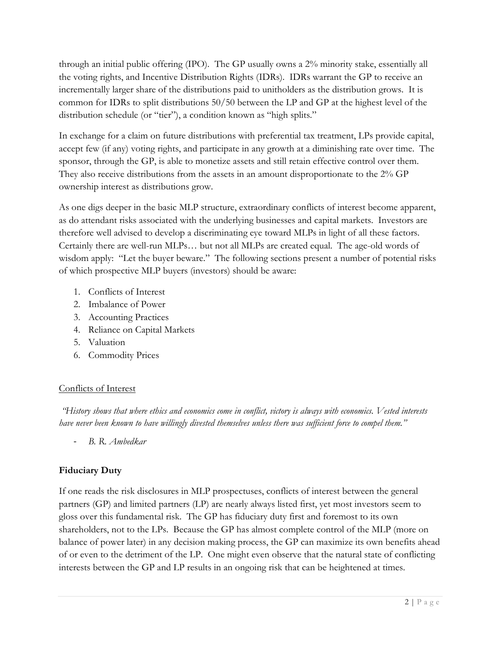through an initial public offering (IPO). The GP usually owns a 2% minority stake, essentially all the voting rights, and Incentive Distribution Rights (IDRs). IDRs warrant the GP to receive an incrementally larger share of the distributions paid to unitholders as the distribution grows. It is common for IDRs to split distributions 50/50 between the LP and GP at the highest level of the distribution schedule (or "tier"), a condition known as "high splits."

In exchange for a claim on future distributions with preferential tax treatment, LPs provide capital, accept few (if any) voting rights, and participate in any growth at a diminishing rate over time. The sponsor, through the GP, is able to monetize assets and still retain effective control over them. They also receive distributions from the assets in an amount disproportionate to the 2% GP ownership interest as distributions grow.

As one digs deeper in the basic MLP structure, extraordinary conflicts of interest become apparent, as do attendant risks associated with the underlying businesses and capital markets. Investors are therefore well advised to develop a discriminating eye toward MLPs in light of all these factors. Certainly there are well-run MLPs… but not all MLPs are created equal. The age-old words of wisdom apply: "Let the buyer beware." The following sections present a number of potential risks of which prospective MLP buyers (investors) should be aware:

- 1. Conflicts of Interest
- 2. Imbalance of Power
- 3. Accounting Practices
- 4. Reliance on Capital Markets
- 5. Valuation
- 6. Commodity Prices

## Conflicts of Interest

 "History shows that where ethics and economics come in conflict, victory is always with economics. Vested interests have never been known to have willingly divested themselves unless there was sufficient force to compel them."

B. R. Ambedkar

## Fiduciary Duty

If one reads the risk disclosures in MLP prospectuses, conflicts of interest between the general partners (GP) and limited partners (LP) are nearly always listed first, yet most investors seem to gloss over this fundamental risk. The GP has fiduciary duty first and foremost to its own shareholders, not to the LPs. Because the GP has almost complete control of the MLP (more on balance of power later) in any decision making process, the GP can maximize its own benefits ahead of or even to the detriment of the LP. One might even observe that the natural state of conflicting interests between the GP and LP results in an ongoing risk that can be heightened at times.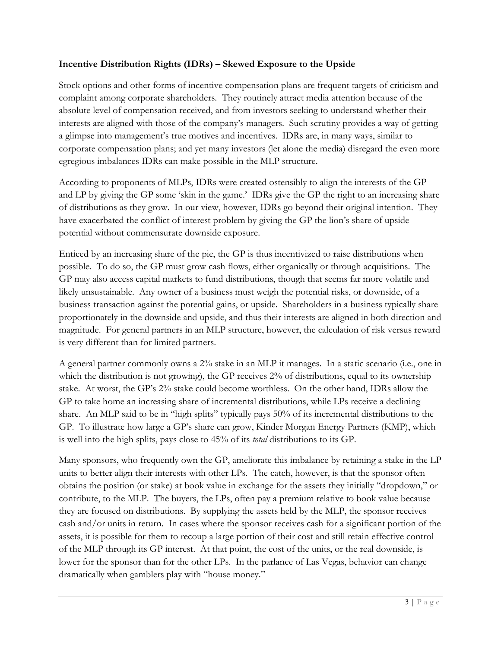### Incentive Distribution Rights (IDRs) – Skewed Exposure to the Upside

Stock options and other forms of incentive compensation plans are frequent targets of criticism and complaint among corporate shareholders. They routinely attract media attention because of the absolute level of compensation received, and from investors seeking to understand whether their interests are aligned with those of the company's managers. Such scrutiny provides a way of getting a glimpse into management's true motives and incentives. IDRs are, in many ways, similar to corporate compensation plans; and yet many investors (let alone the media) disregard the even more egregious imbalances IDRs can make possible in the MLP structure.

According to proponents of MLPs, IDRs were created ostensibly to align the interests of the GP and LP by giving the GP some 'skin in the game.' IDRs give the GP the right to an increasing share of distributions as they grow. In our view, however, IDRs go beyond their original intention. They have exacerbated the conflict of interest problem by giving the GP the lion's share of upside potential without commensurate downside exposure.

Enticed by an increasing share of the pie, the GP is thus incentivized to raise distributions when possible. To do so, the GP must grow cash flows, either organically or through acquisitions. The GP may also access capital markets to fund distributions, though that seems far more volatile and likely unsustainable. Any owner of a business must weigh the potential risks, or downside, of a business transaction against the potential gains, or upside. Shareholders in a business typically share proportionately in the downside and upside, and thus their interests are aligned in both direction and magnitude. For general partners in an MLP structure, however, the calculation of risk versus reward is very different than for limited partners.

A general partner commonly owns a 2% stake in an MLP it manages. In a static scenario (i.e., one in which the distribution is not growing), the GP receives 2% of distributions, equal to its ownership stake. At worst, the GP's 2% stake could become worthless. On the other hand, IDRs allow the GP to take home an increasing share of incremental distributions, while LPs receive a declining share. An MLP said to be in "high splits" typically pays 50% of its incremental distributions to the GP. To illustrate how large a GP's share can grow, Kinder Morgan Energy Partners (KMP), which is well into the high splits, pays close to 45% of its total distributions to its GP.

Many sponsors, who frequently own the GP, ameliorate this imbalance by retaining a stake in the LP units to better align their interests with other LPs. The catch, however, is that the sponsor often obtains the position (or stake) at book value in exchange for the assets they initially "dropdown," or contribute, to the MLP. The buyers, the LPs, often pay a premium relative to book value because they are focused on distributions. By supplying the assets held by the MLP, the sponsor receives cash and/or units in return. In cases where the sponsor receives cash for a significant portion of the assets, it is possible for them to recoup a large portion of their cost and still retain effective control of the MLP through its GP interest. At that point, the cost of the units, or the real downside, is lower for the sponsor than for the other LPs. In the parlance of Las Vegas, behavior can change dramatically when gamblers play with "house money."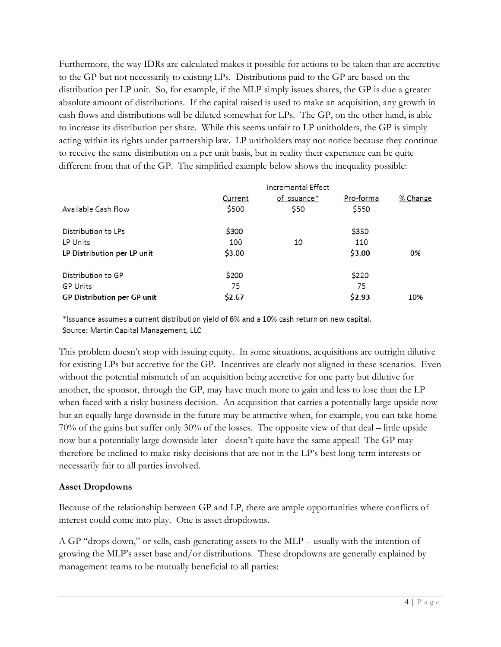Furthermore, the way IDRs are calculated makes it possible for actions to be taken that are accretive to the GP but not necessarily to existing LPs. Distributions paid to the GP are based on the distribution per LP unit. So, for example, if the MLP simply issues shares, the GP is due a greater absolute amount of distributions. If the capital raised is used to make an acquisition, any growth in cash flows and distributions will be diluted somewhat for LPs. The GP, on the other hand, is able to increase its distribution per share. While this seems unfair to LP unitholders, the GP is simply acting within its rights under partnership law. LP unitholders may not notice because they continue to receive the same distribution on a per unit basis, but in reality their experience can be quite different from that of the GP. The simplified example below shows the inequality possible:

|         | Incremental Effect |           |          |
|---------|--------------------|-----------|----------|
| Current | of Issuance*       | Pro-forma | % Change |
| \$500   | \$50               | \$550     |          |
| \$300   |                    | \$330     |          |
| 100     | 10                 | 110       |          |
| \$3.00  |                    | \$3.00    | 0%       |
| \$200   |                    | \$220     |          |
| 75      |                    | 75        |          |
| \$2.67  |                    | \$2.93    | 10%      |
|         |                    |           |          |

\*Issuance assumes a current distribution yield of 6% and a 10% cash return on new capital. Source: Martin Capital Management, LLC

This problem doesn't stop with issuing equity. In some situations, acquisitions are outright dilutive for existing LPs but accretive for the GP. Incentives are clearly not aligned in these scenarios. Even without the potential mismatch of an acquisition being accretive for one party but dilutive for another, the sponsor, through the GP, may have much more to gain and less to lose than the LP when faced with a risky business decision. An acquisition that carries a potentially large upside now but an equally large downside in the future may be attractive when, for example, you can take home 70% of the gains but suffer only 30% of the losses. The opposite view of that deal – little upside now but a potentially large downside later - doesn't quite have the same appeal! The GP may therefore be inclined to make risky decisions that are not in the LP's best long-term interests or necessarily fair to all parties involved.

#### Asset Dropdowns

Because of the relationship between GP and LP, there are ample opportunities where conflicts of interest could come into play. One is asset dropdowns.

A GP "drops down," or sells, cash-generating assets to the MLP – usually with the intention of growing the MLP's asset base and/or distributions. These dropdowns are generally explained by management teams to be mutually beneficial to all parties: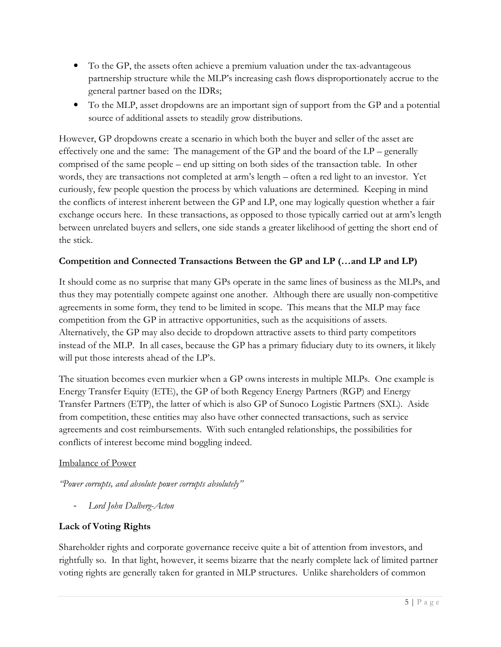- To the GP, the assets often achieve a premium valuation under the tax-advantageous partnership structure while the MLP's increasing cash flows disproportionately accrue to the general partner based on the IDRs;
- To the MLP, asset dropdowns are an important sign of support from the GP and a potential source of additional assets to steadily grow distributions.

However, GP dropdowns create a scenario in which both the buyer and seller of the asset are effectively one and the same: The management of the GP and the board of the LP – generally comprised of the same people – end up sitting on both sides of the transaction table. In other words, they are transactions not completed at arm's length – often a red light to an investor. Yet curiously, few people question the process by which valuations are determined. Keeping in mind the conflicts of interest inherent between the GP and LP, one may logically question whether a fair exchange occurs here. In these transactions, as opposed to those typically carried out at arm's length between unrelated buyers and sellers, one side stands a greater likelihood of getting the short end of the stick.

## Competition and Connected Transactions Between the GP and LP (...and LP and LP)

It should come as no surprise that many GPs operate in the same lines of business as the MLPs, and thus they may potentially compete against one another. Although there are usually non-competitive agreements in some form, they tend to be limited in scope. This means that the MLP may face competition from the GP in attractive opportunities, such as the acquisitions of assets. Alternatively, the GP may also decide to dropdown attractive assets to third party competitors instead of the MLP. In all cases, because the GP has a primary fiduciary duty to its owners, it likely will put those interests ahead of the LP's.

The situation becomes even murkier when a GP owns interests in multiple MLPs. One example is Energy Transfer Equity (ETE), the GP of both Regency Energy Partners (RGP) and Energy Transfer Partners (ETP), the latter of which is also GP of Sunoco Logistic Partners (SXL). Aside from competition, these entities may also have other connected transactions, such as service agreements and cost reimbursements. With such entangled relationships, the possibilities for conflicts of interest become mind boggling indeed.

#### Imbalance of Power

"Power corrupts, and absolute power corrupts absolutely"

- Lord John Dalberg-Acton

## Lack of Voting Rights

Shareholder rights and corporate governance receive quite a bit of attention from investors, and rightfully so. In that light, however, it seems bizarre that the nearly complete lack of limited partner voting rights are generally taken for granted in MLP structures. Unlike shareholders of common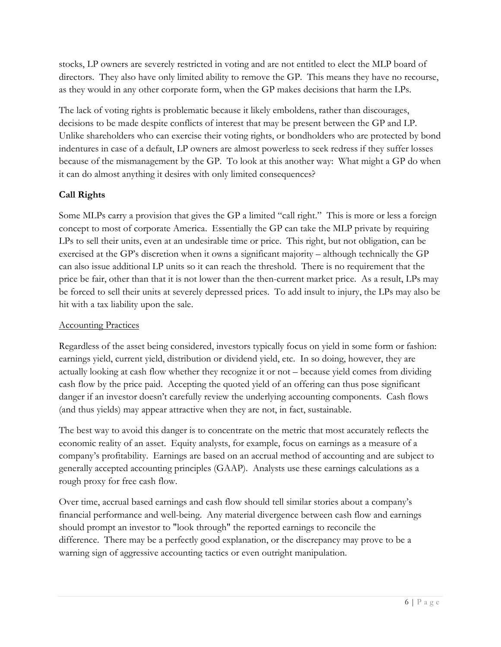stocks, LP owners are severely restricted in voting and are not entitled to elect the MLP board of directors. They also have only limited ability to remove the GP. This means they have no recourse, as they would in any other corporate form, when the GP makes decisions that harm the LPs.

The lack of voting rights is problematic because it likely emboldens, rather than discourages, decisions to be made despite conflicts of interest that may be present between the GP and LP. Unlike shareholders who can exercise their voting rights, or bondholders who are protected by bond indentures in case of a default, LP owners are almost powerless to seek redress if they suffer losses because of the mismanagement by the GP. To look at this another way: What might a GP do when it can do almost anything it desires with only limited consequences?

# Call Rights

Some MLPs carry a provision that gives the GP a limited "call right." This is more or less a foreign concept to most of corporate America. Essentially the GP can take the MLP private by requiring LPs to sell their units, even at an undesirable time or price. This right, but not obligation, can be exercised at the GP's discretion when it owns a significant majority – although technically the GP can also issue additional LP units so it can reach the threshold. There is no requirement that the price be fair, other than that it is not lower than the then-current market price. As a result, LPs may be forced to sell their units at severely depressed prices. To add insult to injury, the LPs may also be hit with a tax liability upon the sale.

# Accounting Practices

Regardless of the asset being considered, investors typically focus on yield in some form or fashion: earnings yield, current yield, distribution or dividend yield, etc. In so doing, however, they are actually looking at cash flow whether they recognize it or not – because yield comes from dividing cash flow by the price paid. Accepting the quoted yield of an offering can thus pose significant danger if an investor doesn't carefully review the underlying accounting components. Cash flows (and thus yields) may appear attractive when they are not, in fact, sustainable.

The best way to avoid this danger is to concentrate on the metric that most accurately reflects the economic reality of an asset. Equity analysts, for example, focus on earnings as a measure of a company's profitability. Earnings are based on an accrual method of accounting and are subject to generally accepted accounting principles (GAAP). Analysts use these earnings calculations as a rough proxy for free cash flow.

Over time, accrual based earnings and cash flow should tell similar stories about a company's financial performance and well-being. Any material divergence between cash flow and earnings should prompt an investor to "look through" the reported earnings to reconcile the difference. There may be a perfectly good explanation, or the discrepancy may prove to be a warning sign of aggressive accounting tactics or even outright manipulation.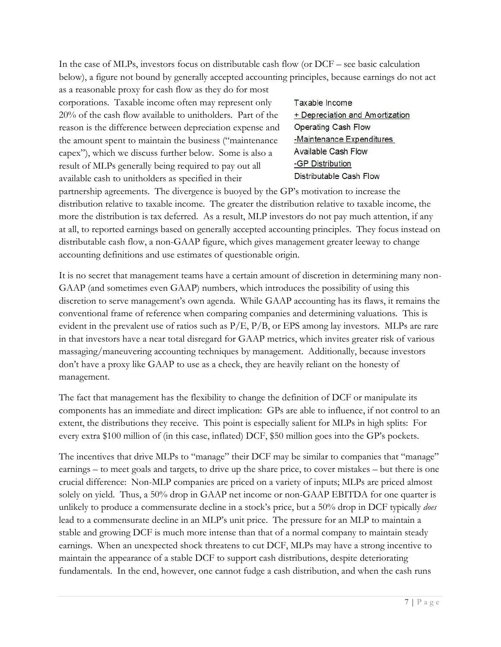In the case of MLPs, investors focus on distributable cash flow (or DCF – see basic calculation below), a figure not bound by generally accepted accounting principles, because earnings do not act

as a reasonable proxy for cash flow as they do for most corporations. Taxable income often may represent only 20% of the cash flow available to unitholders. Part of the reason is the difference between depreciation expense and the amount spent to maintain the business ("maintenance capex"), which we discuss further below. Some is also a result of MLPs generally being required to pay out all available cash to unitholders as specified in their

Taxable Income + Depreciation and Amortization Operating Cash Flow -Maintenance Expenditures **Available Cash Flow** -GP Distribution Distributable Cash Flow

partnership agreements. The divergence is buoyed by the GP's motivation to increase the distribution relative to taxable income. The greater the distribution relative to taxable income, the more the distribution is tax deferred. As a result, MLP investors do not pay much attention, if any at all, to reported earnings based on generally accepted accounting principles. They focus instead on distributable cash flow, a non-GAAP figure, which gives management greater leeway to change accounting definitions and use estimates of questionable origin.

It is no secret that management teams have a certain amount of discretion in determining many non-GAAP (and sometimes even GAAP) numbers, which introduces the possibility of using this discretion to serve management's own agenda. While GAAP accounting has its flaws, it remains the conventional frame of reference when comparing companies and determining valuations. This is evident in the prevalent use of ratios such as  $P/E$ ,  $P/B$ , or EPS among lay investors. MLPs are rare in that investors have a near total disregard for GAAP metrics, which invites greater risk of various massaging/maneuvering accounting techniques by management. Additionally, because investors don't have a proxy like GAAP to use as a check, they are heavily reliant on the honesty of management.

The fact that management has the flexibility to change the definition of DCF or manipulate its components has an immediate and direct implication: GPs are able to influence, if not control to an extent, the distributions they receive. This point is especially salient for MLPs in high splits: For every extra \$100 million of (in this case, inflated) DCF, \$50 million goes into the GP's pockets.

The incentives that drive MLPs to "manage" their DCF may be similar to companies that "manage" earnings – to meet goals and targets, to drive up the share price, to cover mistakes – but there is one crucial difference: Non-MLP companies are priced on a variety of inputs; MLPs are priced almost solely on yield. Thus, a 50% drop in GAAP net income or non-GAAP EBITDA for one quarter is unlikely to produce a commensurate decline in a stock's price, but a 50% drop in DCF typically does lead to a commensurate decline in an MLP's unit price. The pressure for an MLP to maintain a stable and growing DCF is much more intense than that of a normal company to maintain steady earnings. When an unexpected shock threatens to cut DCF, MLPs may have a strong incentive to maintain the appearance of a stable DCF to support cash distributions, despite deteriorating fundamentals. In the end, however, one cannot fudge a cash distribution, and when the cash runs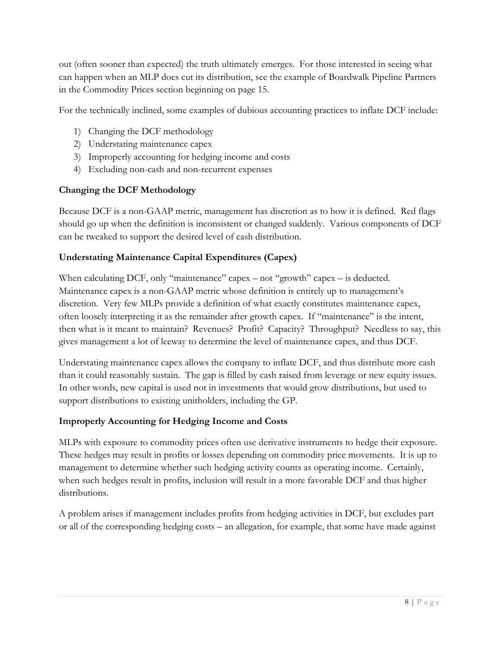out (often sooner than expected) the truth ultimately emerges. For those interested in seeing what can happen when an MLP does cut its distribution, see the example of Boardwalk Pipeline Partners in the Commodity Prices section beginning on page 15.

For the technically inclined, some examples of dubious accounting practices to inflate DCF include:

- 1) Changing the DCF methodology
- 2) Understating maintenance capex
- 3) Improperly accounting for hedging income and costs
- 4) Excluding non-cash and non-recurrent expenses

## Changing the DCF Methodology

Because DCF is a non-GAAP metric, management has discretion as to how it is defined. Red flags should go up when the definition is inconsistent or changed suddenly. Various components of DCF can be tweaked to support the desired level of cash distribution.

## Understating Maintenance Capital Expenditures (Capex)

When calculating DCF, only "maintenance" capex – not "growth" capex – is deducted. Maintenance capex is a non-GAAP metric whose definition is entirely up to management's discretion. Very few MLPs provide a definition of what exactly constitutes maintenance capex, often loosely interpreting it as the remainder after growth capex. If "maintenance" is the intent, then what is it meant to maintain? Revenues? Profit? Capacity? Throughput? Needless to say, this gives management a lot of leeway to determine the level of maintenance capex, and thus DCF.

Understating maintenance capex allows the company to inflate DCF, and thus distribute more cash than it could reasonably sustain. The gap is filled by cash raised from leverage or new equity issues. In other words, new capital is used not in investments that would grow distributions, but used to support distributions to existing unitholders, including the GP.

## Improperly Accounting for Hedging Income and Costs

MLPs with exposure to commodity prices often use derivative instruments to hedge their exposure. These hedges may result in profits or losses depending on commodity price movements. It is up to management to determine whether such hedging activity counts as operating income. Certainly, when such hedges result in profits, inclusion will result in a more favorable DCF and thus higher distributions.

A problem arises if management includes profits from hedging activities in DCF, but excludes part or all of the corresponding hedging costs – an allegation, for example, that some have made against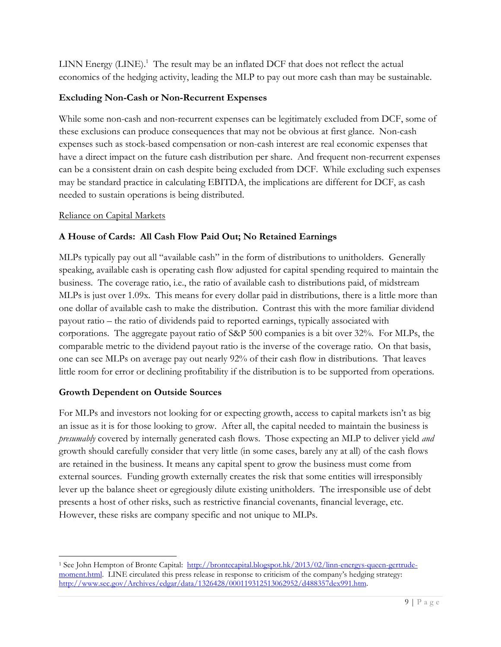LINN Energy (LINE).<sup>1</sup> The result may be an inflated DCF that does not reflect the actual economics of the hedging activity, leading the MLP to pay out more cash than may be sustainable.

## Excluding Non-Cash or Non-Recurrent Expenses

While some non-cash and non-recurrent expenses can be legitimately excluded from DCF, some of these exclusions can produce consequences that may not be obvious at first glance. Non-cash expenses such as stock-based compensation or non-cash interest are real economic expenses that have a direct impact on the future cash distribution per share. And frequent non-recurrent expenses can be a consistent drain on cash despite being excluded from DCF. While excluding such expenses may be standard practice in calculating EBITDA, the implications are different for DCF, as cash needed to sustain operations is being distributed.

## Reliance on Capital Markets

# A House of Cards: All Cash Flow Paid Out; No Retained Earnings

MLPs typically pay out all "available cash" in the form of distributions to unitholders. Generally speaking, available cash is operating cash flow adjusted for capital spending required to maintain the business. The coverage ratio, i.e., the ratio of available cash to distributions paid, of midstream MLPs is just over 1.09x. This means for every dollar paid in distributions, there is a little more than one dollar of available cash to make the distribution. Contrast this with the more familiar dividend payout ratio – the ratio of dividends paid to reported earnings, typically associated with corporations. The aggregate payout ratio of S&P 500 companies is a bit over 32%. For MLPs, the comparable metric to the dividend payout ratio is the inverse of the coverage ratio. On that basis, one can see MLPs on average pay out nearly 92% of their cash flow in distributions. That leaves little room for error or declining profitability if the distribution is to be supported from operations.

## Growth Dependent on Outside Sources

l

For MLPs and investors not looking for or expecting growth, access to capital markets isn't as big an issue as it is for those looking to grow. After all, the capital needed to maintain the business is presumably covered by internally generated cash flows. Those expecting an MLP to deliver yield and growth should carefully consider that very little (in some cases, barely any at all) of the cash flows are retained in the business. It means any capital spent to grow the business must come from external sources. Funding growth externally creates the risk that some entities will irresponsibly lever up the balance sheet or egregiously dilute existing unitholders. The irresponsible use of debt presents a host of other risks, such as restrictive financial covenants, financial leverage, etc. However, these risks are company specific and not unique to MLPs.

<sup>&</sup>lt;sup>1</sup> See John Hempton of Bronte Capital: http://brontecapital.blogspot.hk/2013/02/linn-energys-queen-gertrudemoment.html. LINE circulated this press release in response to criticism of the company's hedging strategy: http://www.sec.gov/Archives/edgar/data/1326428/000119312513062952/d488357dex991.htm.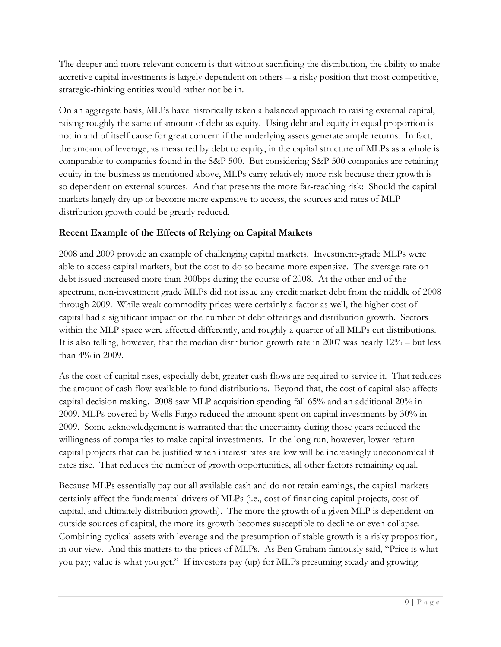The deeper and more relevant concern is that without sacrificing the distribution, the ability to make accretive capital investments is largely dependent on others – a risky position that most competitive, strategic-thinking entities would rather not be in.

On an aggregate basis, MLPs have historically taken a balanced approach to raising external capital, raising roughly the same of amount of debt as equity. Using debt and equity in equal proportion is not in and of itself cause for great concern if the underlying assets generate ample returns. In fact, the amount of leverage, as measured by debt to equity, in the capital structure of MLPs as a whole is comparable to companies found in the S&P 500. But considering S&P 500 companies are retaining equity in the business as mentioned above, MLPs carry relatively more risk because their growth is so dependent on external sources. And that presents the more far-reaching risk: Should the capital markets largely dry up or become more expensive to access, the sources and rates of MLP distribution growth could be greatly reduced.

## Recent Example of the Effects of Relying on Capital Markets

2008 and 2009 provide an example of challenging capital markets. Investment-grade MLPs were able to access capital markets, but the cost to do so became more expensive. The average rate on debt issued increased more than 300bps during the course of 2008. At the other end of the spectrum, non-investment grade MLPs did not issue any credit market debt from the middle of 2008 through 2009. While weak commodity prices were certainly a factor as well, the higher cost of capital had a significant impact on the number of debt offerings and distribution growth. Sectors within the MLP space were affected differently, and roughly a quarter of all MLPs cut distributions. It is also telling, however, that the median distribution growth rate in 2007 was nearly 12% – but less than 4% in 2009.

As the cost of capital rises, especially debt, greater cash flows are required to service it. That reduces the amount of cash flow available to fund distributions. Beyond that, the cost of capital also affects capital decision making. 2008 saw MLP acquisition spending fall 65% and an additional 20% in 2009. MLPs covered by Wells Fargo reduced the amount spent on capital investments by 30% in 2009. Some acknowledgement is warranted that the uncertainty during those years reduced the willingness of companies to make capital investments. In the long run, however, lower return capital projects that can be justified when interest rates are low will be increasingly uneconomical if rates rise. That reduces the number of growth opportunities, all other factors remaining equal.

Because MLPs essentially pay out all available cash and do not retain earnings, the capital markets certainly affect the fundamental drivers of MLPs (i.e., cost of financing capital projects, cost of capital, and ultimately distribution growth). The more the growth of a given MLP is dependent on outside sources of capital, the more its growth becomes susceptible to decline or even collapse. Combining cyclical assets with leverage and the presumption of stable growth is a risky proposition, in our view. And this matters to the prices of MLPs. As Ben Graham famously said, "Price is what you pay; value is what you get." If investors pay (up) for MLPs presuming steady and growing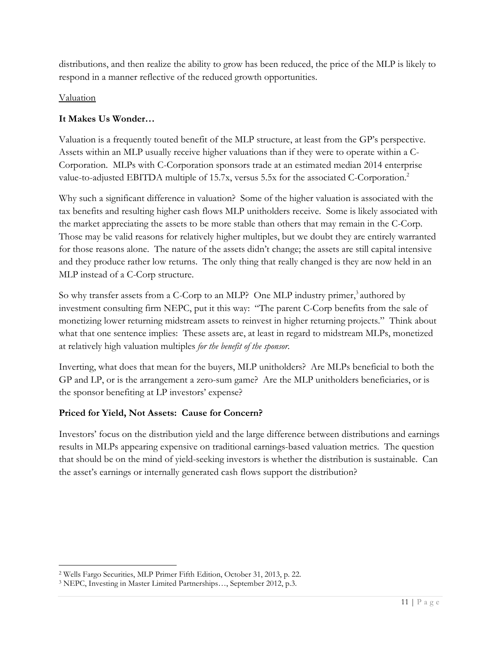distributions, and then realize the ability to grow has been reduced, the price of the MLP is likely to respond in a manner reflective of the reduced growth opportunities.

## Valuation

l

## It Makes Us Wonder…

Valuation is a frequently touted benefit of the MLP structure, at least from the GP's perspective. Assets within an MLP usually receive higher valuations than if they were to operate within a C-Corporation. MLPs with C-Corporation sponsors trade at an estimated median 2014 enterprise value-to-adjusted EBITDA multiple of 15.7x, versus 5.5x for the associated C-Corporation.<sup>2</sup>

Why such a significant difference in valuation? Some of the higher valuation is associated with the tax benefits and resulting higher cash flows MLP unitholders receive. Some is likely associated with the market appreciating the assets to be more stable than others that may remain in the C-Corp. Those may be valid reasons for relatively higher multiples, but we doubt they are entirely warranted for those reasons alone. The nature of the assets didn't change; the assets are still capital intensive and they produce rather low returns. The only thing that really changed is they are now held in an MLP instead of a C-Corp structure.

So why transfer assets from a C-Corp to an MLP? One MLP industry primer,<sup>3</sup> authored by investment consulting firm NEPC, put it this way: "The parent C-Corp benefits from the sale of monetizing lower returning midstream assets to reinvest in higher returning projects." Think about what that one sentence implies: These assets are, at least in regard to midstream MLPs, monetized at relatively high valuation multiples for the benefit of the sponsor.

Inverting, what does that mean for the buyers, MLP unitholders? Are MLPs beneficial to both the GP and LP, or is the arrangement a zero-sum game? Are the MLP unitholders beneficiaries, or is the sponsor benefiting at LP investors' expense?

## Priced for Yield, Not Assets: Cause for Concern?

Investors' focus on the distribution yield and the large difference between distributions and earnings results in MLPs appearing expensive on traditional earnings-based valuation metrics. The question that should be on the mind of yield-seeking investors is whether the distribution is sustainable. Can the asset's earnings or internally generated cash flows support the distribution?

<sup>2</sup> Wells Fargo Securities, MLP Primer Fifth Edition, October 31, 2013, p. 22.

<sup>3</sup> NEPC, Investing in Master Limited Partnerships…, September 2012, p.3.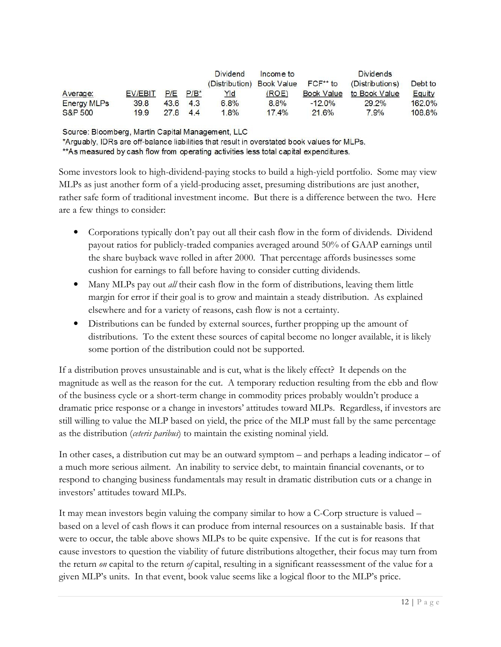|                    |         |               |     | <b>Dividend</b>                    | Income to |                   | <b>Dividends</b> |         |
|--------------------|---------|---------------|-----|------------------------------------|-----------|-------------------|------------------|---------|
|                    |         |               |     | (Distribution) Book Value FCF** to |           |                   | (Distributions)  | Debt to |
| Average:           | EV/EBIT | $P/E$ $P/B^*$ |     | <u>Yld</u>                         | (ROE)     | <b>Book Value</b> | to Book Value    | Equity  |
| <b>Energy MLPs</b> | 39.8    | 43.6          | 4.3 | 6.8%                               | 8.8%      | $-12.0\%$         | 29.2%            | 162.0%  |
| S&P 500            | 19.9    | 27.8 4.4      |     | 1.8%                               | 17.4%     | 21.6%             | 7.9%             | 108.8%  |

Source: Bloomberg, Martin Capital Management, LLC

\*Arguably, IDRs are off-balance liabilities that result in overstated book values for MLPs.

\*\*As measured by cash flow from operating activities less total capital expenditures.

Some investors look to high-dividend-paying stocks to build a high-yield portfolio. Some may view MLPs as just another form of a yield-producing asset, presuming distributions are just another, rather safe form of traditional investment income. But there is a difference between the two. Here are a few things to consider:

- Corporations typically don't pay out all their cash flow in the form of dividends. Dividend payout ratios for publicly-traded companies averaged around 50% of GAAP earnings until the share buyback wave rolled in after 2000. That percentage affords businesses some cushion for earnings to fall before having to consider cutting dividends.
- Many MLPs pay out *all* their cash flow in the form of distributions, leaving them little margin for error if their goal is to grow and maintain a steady distribution. As explained elsewhere and for a variety of reasons, cash flow is not a certainty.
- Distributions can be funded by external sources, further propping up the amount of distributions. To the extent these sources of capital become no longer available, it is likely some portion of the distribution could not be supported.

If a distribution proves unsustainable and is cut, what is the likely effect? It depends on the magnitude as well as the reason for the cut. A temporary reduction resulting from the ebb and flow of the business cycle or a short-term change in commodity prices probably wouldn't produce a dramatic price response or a change in investors' attitudes toward MLPs. Regardless, if investors are still willing to value the MLP based on yield, the price of the MLP must fall by the same percentage as the distribution (ceteris paribus) to maintain the existing nominal yield.

In other cases, a distribution cut may be an outward symptom – and perhaps a leading indicator – of a much more serious ailment. An inability to service debt, to maintain financial covenants, or to respond to changing business fundamentals may result in dramatic distribution cuts or a change in investors' attitudes toward MLPs.

It may mean investors begin valuing the company similar to how a C-Corp structure is valued – based on a level of cash flows it can produce from internal resources on a sustainable basis. If that were to occur, the table above shows MLPs to be quite expensive. If the cut is for reasons that cause investors to question the viability of future distributions altogether, their focus may turn from the return on capital to the return of capital, resulting in a significant reassessment of the value for a given MLP's units. In that event, book value seems like a logical floor to the MLP's price.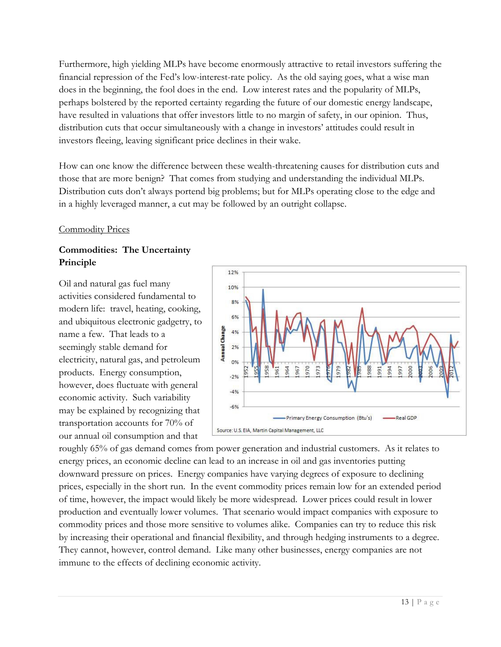Furthermore, high yielding MLPs have become enormously attractive to retail investors suffering the financial repression of the Fed's low-interest-rate policy. As the old saying goes, what a wise man does in the beginning, the fool does in the end. Low interest rates and the popularity of MLPs, perhaps bolstered by the reported certainty regarding the future of our domestic energy landscape, have resulted in valuations that offer investors little to no margin of safety, in our opinion. Thus, distribution cuts that occur simultaneously with a change in investors' attitudes could result in investors fleeing, leaving significant price declines in their wake.

How can one know the difference between these wealth-threatening causes for distribution cuts and those that are more benign? That comes from studying and understanding the individual MLPs. Distribution cuts don't always portend big problems; but for MLPs operating close to the edge and in a highly leveraged manner, a cut may be followed by an outright collapse.

### Commodity Prices

# Commodities: The Uncertainty Principle

Oil and natural gas fuel many activities considered fundamental to modern life: travel, heating, cooking, and ubiquitous electronic gadgetry, to name a few. That leads to a seemingly stable demand for electricity, natural gas, and petroleum products. Energy consumption, however, does fluctuate with general economic activity. Such variability may be explained by recognizing that transportation accounts for 70% of our annual oil consumption and that



roughly 65% of gas demand comes from power generation and industrial customers. As it relates to energy prices, an economic decline can lead to an increase in oil and gas inventories putting downward pressure on prices. Energy companies have varying degrees of exposure to declining prices, especially in the short run. In the event commodity prices remain low for an extended period of time, however, the impact would likely be more widespread. Lower prices could result in lower production and eventually lower volumes. That scenario would impact companies with exposure to commodity prices and those more sensitive to volumes alike. Companies can try to reduce this risk by increasing their operational and financial flexibility, and through hedging instruments to a degree. They cannot, however, control demand. Like many other businesses, energy companies are not immune to the effects of declining economic activity.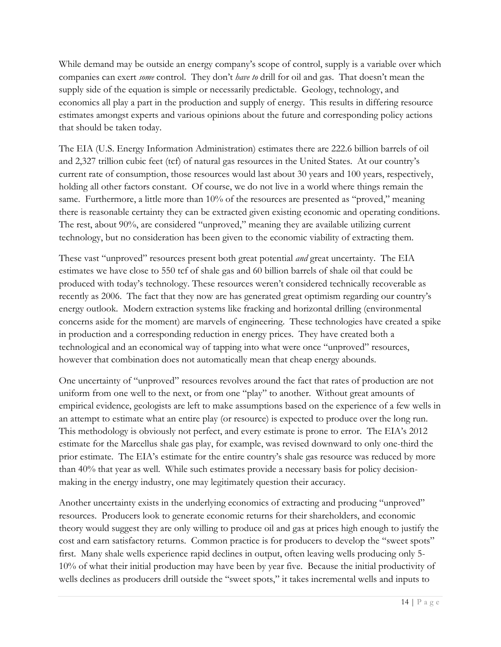While demand may be outside an energy company's scope of control, supply is a variable over which companies can exert *some* control. They don't *have to* drill for oil and gas. That doesn't mean the supply side of the equation is simple or necessarily predictable. Geology, technology, and economics all play a part in the production and supply of energy. This results in differing resource estimates amongst experts and various opinions about the future and corresponding policy actions that should be taken today.

The EIA (U.S. Energy Information Administration) estimates there are 222.6 billion barrels of oil and 2,327 trillion cubic feet (tcf) of natural gas resources in the United States. At our country's current rate of consumption, those resources would last about 30 years and 100 years, respectively, holding all other factors constant. Of course, we do not live in a world where things remain the same. Furthermore, a little more than 10% of the resources are presented as "proved," meaning there is reasonable certainty they can be extracted given existing economic and operating conditions. The rest, about 90%, are considered "unproved," meaning they are available utilizing current technology, but no consideration has been given to the economic viability of extracting them.

These vast "unproved" resources present both great potential *and* great uncertainty. The EIA estimates we have close to 550 tcf of shale gas and 60 billion barrels of shale oil that could be produced with today's technology. These resources weren't considered technically recoverable as recently as 2006. The fact that they now are has generated great optimism regarding our country's energy outlook. Modern extraction systems like fracking and horizontal drilling (environmental concerns aside for the moment) are marvels of engineering. These technologies have created a spike in production and a corresponding reduction in energy prices. They have created both a technological and an economical way of tapping into what were once "unproved" resources, however that combination does not automatically mean that cheap energy abounds.

One uncertainty of "unproved" resources revolves around the fact that rates of production are not uniform from one well to the next, or from one "play" to another. Without great amounts of empirical evidence, geologists are left to make assumptions based on the experience of a few wells in an attempt to estimate what an entire play (or resource) is expected to produce over the long run. This methodology is obviously not perfect, and every estimate is prone to error. The EIA's 2012 estimate for the Marcellus shale gas play, for example, was revised downward to only one-third the prior estimate. The EIA's estimate for the entire country's shale gas resource was reduced by more than 40% that year as well. While such estimates provide a necessary basis for policy decisionmaking in the energy industry, one may legitimately question their accuracy.

Another uncertainty exists in the underlying economics of extracting and producing "unproved" resources. Producers look to generate economic returns for their shareholders, and economic theory would suggest they are only willing to produce oil and gas at prices high enough to justify the cost and earn satisfactory returns. Common practice is for producers to develop the "sweet spots" first. Many shale wells experience rapid declines in output, often leaving wells producing only 5- 10% of what their initial production may have been by year five. Because the initial productivity of wells declines as producers drill outside the "sweet spots," it takes incremental wells and inputs to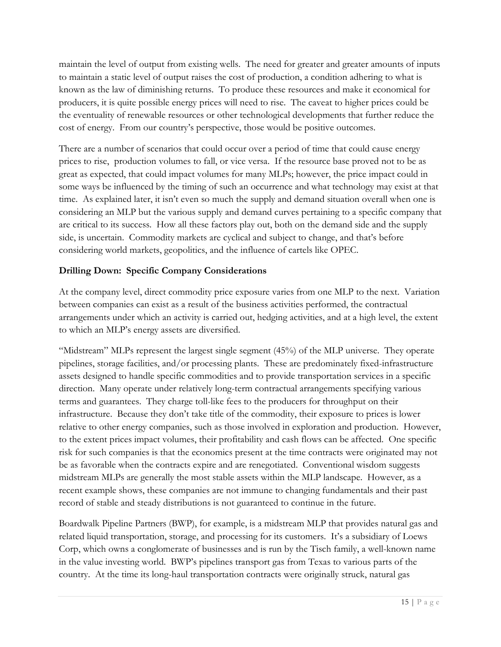maintain the level of output from existing wells. The need for greater and greater amounts of inputs to maintain a static level of output raises the cost of production, a condition adhering to what is known as the law of diminishing returns. To produce these resources and make it economical for producers, it is quite possible energy prices will need to rise. The caveat to higher prices could be the eventuality of renewable resources or other technological developments that further reduce the cost of energy. From our country's perspective, those would be positive outcomes.

There are a number of scenarios that could occur over a period of time that could cause energy prices to rise, production volumes to fall, or vice versa. If the resource base proved not to be as great as expected, that could impact volumes for many MLPs; however, the price impact could in some ways be influenced by the timing of such an occurrence and what technology may exist at that time. As explained later, it isn't even so much the supply and demand situation overall when one is considering an MLP but the various supply and demand curves pertaining to a specific company that are critical to its success. How all these factors play out, both on the demand side and the supply side, is uncertain. Commodity markets are cyclical and subject to change, and that's before considering world markets, geopolitics, and the influence of cartels like OPEC.

# Drilling Down: Specific Company Considerations

At the company level, direct commodity price exposure varies from one MLP to the next. Variation between companies can exist as a result of the business activities performed, the contractual arrangements under which an activity is carried out, hedging activities, and at a high level, the extent to which an MLP's energy assets are diversified.

"Midstream" MLPs represent the largest single segment (45%) of the MLP universe. They operate pipelines, storage facilities, and/or processing plants. These are predominately fixed-infrastructure assets designed to handle specific commodities and to provide transportation services in a specific direction. Many operate under relatively long-term contractual arrangements specifying various terms and guarantees. They charge toll-like fees to the producers for throughput on their infrastructure. Because they don't take title of the commodity, their exposure to prices is lower relative to other energy companies, such as those involved in exploration and production. However, to the extent prices impact volumes, their profitability and cash flows can be affected. One specific risk for such companies is that the economics present at the time contracts were originated may not be as favorable when the contracts expire and are renegotiated. Conventional wisdom suggests midstream MLPs are generally the most stable assets within the MLP landscape. However, as a recent example shows, these companies are not immune to changing fundamentals and their past record of stable and steady distributions is not guaranteed to continue in the future.

Boardwalk Pipeline Partners (BWP), for example, is a midstream MLP that provides natural gas and related liquid transportation, storage, and processing for its customers. It's a subsidiary of Loews Corp, which owns a conglomerate of businesses and is run by the Tisch family, a well-known name in the value investing world. BWP's pipelines transport gas from Texas to various parts of the country. At the time its long-haul transportation contracts were originally struck, natural gas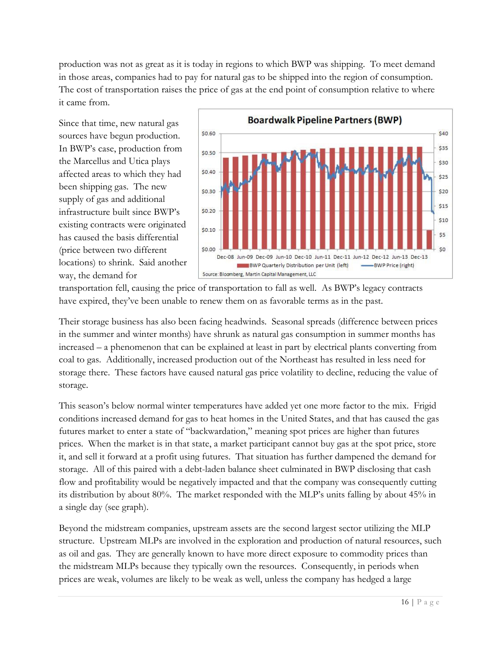production was not as great as it is today in regions to which BWP was shipping. To meet demand in those areas, companies had to pay for natural gas to be shipped into the region of consumption. The cost of transportation raises the price of gas at the end point of consumption relative to where it came from.

Since that time, new natural gas sources have begun production. In BWP's case, production from the Marcellus and Utica plays affected areas to which they had been shipping gas. The new supply of gas and additional infrastructure built since BWP's existing contracts were originated has caused the basis differential (price between two different locations) to shrink. Said another way, the demand for



transportation fell, causing the price of transportation to fall as well. As BWP's legacy contracts have expired, they've been unable to renew them on as favorable terms as in the past.

Their storage business has also been facing headwinds. Seasonal spreads (difference between prices in the summer and winter months) have shrunk as natural gas consumption in summer months has increased – a phenomenon that can be explained at least in part by electrical plants converting from coal to gas. Additionally, increased production out of the Northeast has resulted in less need for storage there. These factors have caused natural gas price volatility to decline, reducing the value of storage.

This season's below normal winter temperatures have added yet one more factor to the mix. Frigid conditions increased demand for gas to heat homes in the United States, and that has caused the gas futures market to enter a state of "backwardation," meaning spot prices are higher than futures prices. When the market is in that state, a market participant cannot buy gas at the spot price, store it, and sell it forward at a profit using futures. That situation has further dampened the demand for storage. All of this paired with a debt-laden balance sheet culminated in BWP disclosing that cash flow and profitability would be negatively impacted and that the company was consequently cutting its distribution by about 80%. The market responded with the MLP's units falling by about 45% in a single day (see graph).

Beyond the midstream companies, upstream assets are the second largest sector utilizing the MLP structure. Upstream MLPs are involved in the exploration and production of natural resources, such as oil and gas. They are generally known to have more direct exposure to commodity prices than the midstream MLPs because they typically own the resources. Consequently, in periods when prices are weak, volumes are likely to be weak as well, unless the company has hedged a large